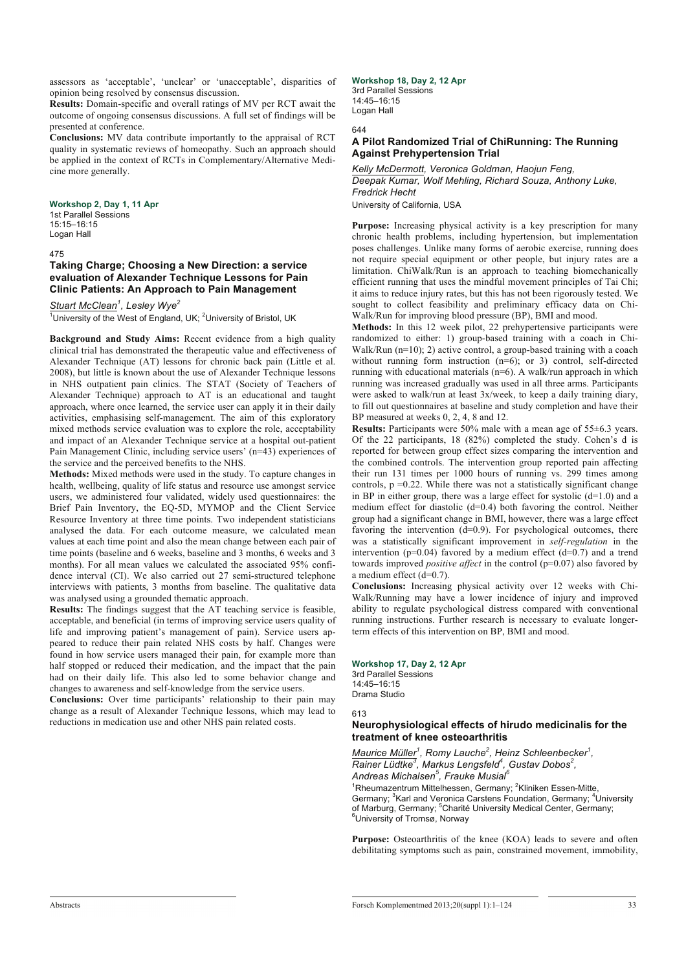assessors as 'acceptable', 'unclear' or 'unacceptable', disparities of opinion being resolved by consensus discussion.

**Results:** Domain-specific and overall ratings of MV per RCT await the outcome of ongoing consensus discussions. A full set of findings will be presented at conference.

**Conclusions:** MV data contribute importantly to the appraisal of RCT quality in systematic reviews of homeopathy. Such an approach should be applied in the context of RCTs in Complementary/Alternative Medicine more generally.

#### **Workshop 2, Day 1, 11 Apr**

1st Parallel Sessions 15:15–16:15 Logan Hall

#### 475

## **Taking Charge; Choosing a New Direction: a service evaluation of Alexander Technique Lessons for Pain Clinic Patients: An Approach to Pain Management**

*Stuart McClean<sup>1</sup> , Lesley Wye<sup>2</sup>*

<sup>1</sup>University of the West of England, UK; <sup>2</sup>University of Bristol, UK

**Background and Study Aims:** Recent evidence from a high quality clinical trial has demonstrated the therapeutic value and effectiveness of Alexander Technique (AT) lessons for chronic back pain (Little et al. 2008), but little is known about the use of Alexander Technique lessons in NHS outpatient pain clinics. The STAT (Society of Teachers of Alexander Technique) approach to AT is an educational and taught approach, where once learned, the service user can apply it in their daily activities, emphasising self-management. The aim of this exploratory mixed methods service evaluation was to explore the role, acceptability and impact of an Alexander Technique service at a hospital out-patient Pain Management Clinic, including service users' (n=43) experiences of the service and the perceived benefits to the NHS.

**Methods:** Mixed methods were used in the study. To capture changes in health, wellbeing, quality of life status and resource use amongst service users, we administered four validated, widely used questionnaires: the Brief Pain Inventory, the EQ-5D, MYMOP and the Client Service Resource Inventory at three time points. Two independent statisticians analysed the data. For each outcome measure, we calculated mean values at each time point and also the mean change between each pair of time points (baseline and 6 weeks, baseline and 3 months, 6 weeks and 3 months). For all mean values we calculated the associated 95% confidence interval (CI). We also carried out 27 semi-structured telephone interviews with patients, 3 months from baseline. The qualitative data was analysed using a grounded thematic approach.

**Results:** The findings suggest that the AT teaching service is feasible, acceptable, and beneficial (in terms of improving service users quality of life and improving patient's management of pain). Service users appeared to reduce their pain related NHS costs by half. Changes were found in how service users managed their pain, for example more than half stopped or reduced their medication, and the impact that the pain had on their daily life. This also led to some behavior change and changes to awareness and self-knowledge from the service users.

**Conclusions:** Over time participants' relationship to their pain may change as a result of Alexander Technique lessons, which may lead to reductions in medication use and other NHS pain related costs.

# **Workshop 18, Day 2, 12 Apr**

3rd Parallel Sessions 14:45–16:15 Logan Hall

644

### **A Pilot Randomized Trial of ChiRunning: The Running Against Prehypertension Trial**

*Kelly McDermott, Veronica Goldman, Haojun Feng, Deepak Kumar, Wolf Mehling, Richard Souza, Anthony Luke, Fredrick Hecht*  University of California, USA

**Purpose:** Increasing physical activity is a key prescription for many chronic health problems, including hypertension, but implementation poses challenges. Unlike many forms of aerobic exercise, running does not require special equipment or other people, but injury rates are a limitation. ChiWalk/Run is an approach to teaching biomechanically efficient running that uses the mindful movement principles of Tai Chi; it aims to reduce injury rates, but this has not been rigorously tested. We sought to collect feasibility and preliminary efficacy data on Chi-Walk/Run for improving blood pressure (BP), BMI and mood.

**Methods:** In this 12 week pilot, 22 prehypertensive participants were randomized to either: 1) group-based training with a coach in Chi-Walk/Run (n=10); 2) active control, a group-based training with a coach without running form instruction (n=6); or 3) control, self-directed running with educational materials (n=6). A walk/run approach in which running was increased gradually was used in all three arms. Participants were asked to walk/run at least 3x/week, to keep a daily training diary, to fill out questionnaires at baseline and study completion and have their BP measured at weeks 0, 2, 4, 8 and 12.

**Results:** Participants were 50% male with a mean age of 55±6.3 years. Of the 22 participants, 18 (82%) completed the study. Cohen's d is reported for between group effect sizes comparing the intervention and the combined controls. The intervention group reported pain affecting their run 131 times per 1000 hours of running vs. 299 times among controls,  $p = 0.22$ . While there was not a statistically significant change in BP in either group, there was a large effect for systolic (d=1.0) and a medium effect for diastolic (d=0.4) both favoring the control. Neither group had a significant change in BMI, however, there was a large effect favoring the intervention (d=0.9). For psychological outcomes, there was a statistically significant improvement in *self-regulation* in the intervention ( $p=0.04$ ) favored by a medium effect ( $d=0.7$ ) and a trend towards improved *positive affect* in the control (p=0.07) also favored by a medium effect (d=0.7).

**Conclusions:** Increasing physical activity over 12 weeks with Chi-Walk/Running may have a lower incidence of injury and improved ability to regulate psychological distress compared with conventional running instructions. Further research is necessary to evaluate longerterm effects of this intervention on BP, BMI and mood.

**Workshop 17, Day 2, 12 Apr**  3rd Parallel Sessions 14:45–16:15 Drama Studio

#### 613

## **Neurophysiological effects of hirudo medicinalis for the treatment of knee osteoarthritis**

 $M$ aurice  $M$ üller<sup>1</sup>, Romy Lauche<sup>2</sup>, Heinz Schleenbecker<sup>1</sup>, *Rainer Lüdtke<sup>3</sup> , Markus Lengsfeld<sup>4</sup> , Gustav Dobos<sup>2</sup> , Andreas Michalsen<sup>5</sup> , Frauke Musial<sup>6</sup>*

 $1$ Rheumazentrum Mittelhessen, Germany;  $2$ Kliniken Essen-Mitte, Germany; <sup>3</sup>Karl and Veronica Carstens Foundation, Germany; <sup>4</sup>University of Marburg, Germany; <sup>5</sup>Charité University Medical Center, Germany; <sup>6</sup>University of Tromsø, Norway

**Purpose:** Osteoarthritis of the knee (KOA) leads to severe and often debilitating symptoms such as pain, constrained movement, immobility,